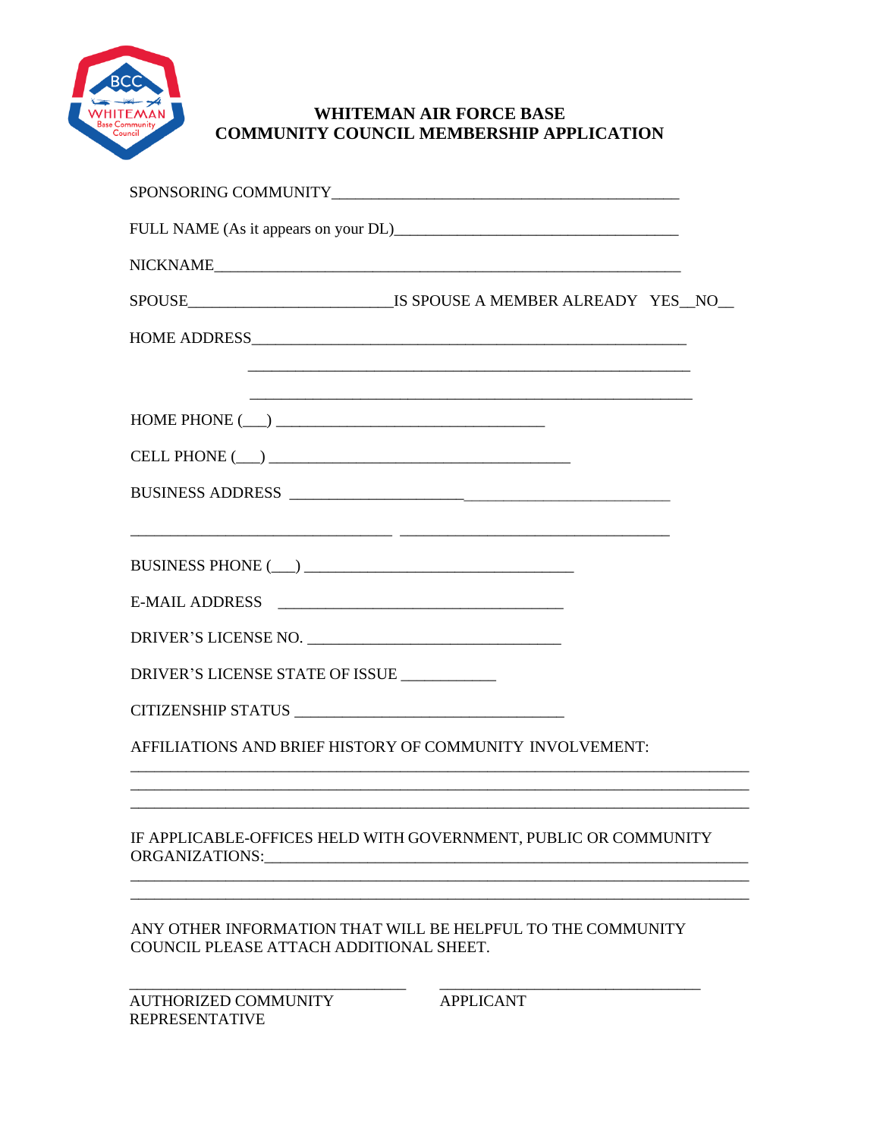

# **WHITEMAN AIR FORCE BASE COMMUNITY COUNCIL MEMBERSHIP APPLICATION**

| NICKNAME                                                                                               |
|--------------------------------------------------------------------------------------------------------|
|                                                                                                        |
|                                                                                                        |
| <u> 1980 - Johann Stoff, amerikansk politik (d. 1980)</u>                                              |
| $\textbf{HOME PHONE} (\underline{\hspace{1cm}}) \underline{\hspace{1cm}}$                              |
| $\label{eq:ceLL} \textbf{CELL PHONE}\ (\_\_\_\_\_\_$                                                   |
| BUSINESS ADDRESS                                                                                       |
|                                                                                                        |
|                                                                                                        |
|                                                                                                        |
|                                                                                                        |
| DRIVER'S LICENSE STATE OF ISSUE ___________                                                            |
|                                                                                                        |
| AFFILIATIONS AND BRIEF HISTORY OF COMMUNITY INVOLVEMENT:                                               |
|                                                                                                        |
| IF APPLICABLE-OFFICES HELD WITH GOVERNMENT, PUBLIC OR COMMUNITY                                        |
| ANY OTHER INFORMATION THAT WILL BE HELPFUL TO THE COMMUNITY<br>COUNCIL PLEASE ATTACH ADDITIONAL SHEET. |
| $\overline{A}$                                                                                         |

AUTHORIZED COMMUNITY REPRESENTATIVE

APPLICANT